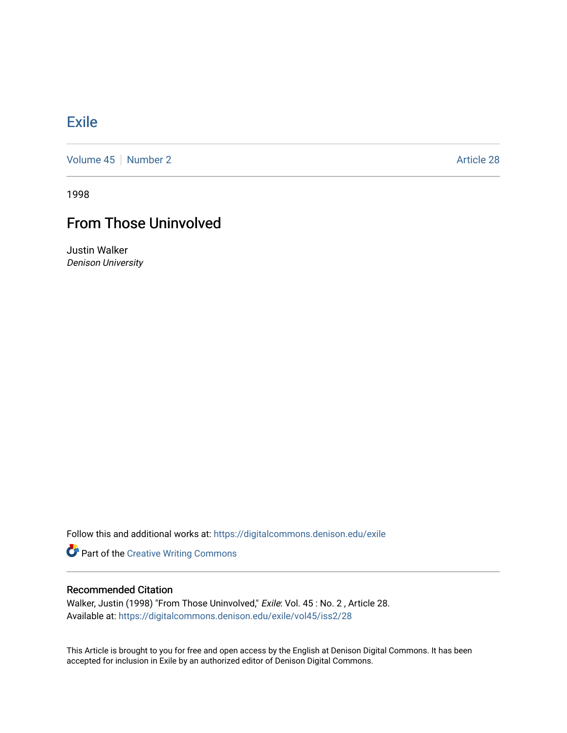## **[Exile](https://digitalcommons.denison.edu/exile)**

[Volume 45](https://digitalcommons.denison.edu/exile/vol45) | [Number 2](https://digitalcommons.denison.edu/exile/vol45/iss2) Article 28

1998

## From Those Uninvolved

Justin Walker Denison University

Follow this and additional works at: [https://digitalcommons.denison.edu/exile](https://digitalcommons.denison.edu/exile?utm_source=digitalcommons.denison.edu%2Fexile%2Fvol45%2Fiss2%2F28&utm_medium=PDF&utm_campaign=PDFCoverPages) 

Part of the [Creative Writing Commons](http://network.bepress.com/hgg/discipline/574?utm_source=digitalcommons.denison.edu%2Fexile%2Fvol45%2Fiss2%2F28&utm_medium=PDF&utm_campaign=PDFCoverPages) 

## Recommended Citation

Walker, Justin (1998) "From Those Uninvolved," Exile: Vol. 45 : No. 2 , Article 28. Available at: [https://digitalcommons.denison.edu/exile/vol45/iss2/28](https://digitalcommons.denison.edu/exile/vol45/iss2/28?utm_source=digitalcommons.denison.edu%2Fexile%2Fvol45%2Fiss2%2F28&utm_medium=PDF&utm_campaign=PDFCoverPages)

This Article is brought to you for free and open access by the English at Denison Digital Commons. It has been accepted for inclusion in Exile by an authorized editor of Denison Digital Commons.